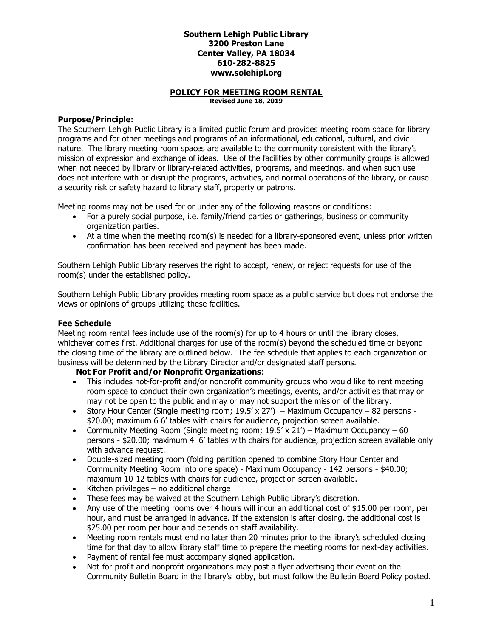### **Southern Lehigh Public Library 3200 Preston Lane Center Valley, PA 18034 610-282-8825 www.solehipl.org**

#### **POLICY FOR MEETING ROOM RENTAL Revised June 18, 2019**

## **Purpose/Principle:**

The Southern Lehigh Public Library is a limited public forum and provides meeting room space for library programs and for other meetings and programs of an informational, educational, cultural, and civic nature. The library meeting room spaces are available to the community consistent with the library's mission of expression and exchange of ideas. Use of the facilities by other community groups is allowed when not needed by library or library-related activities, programs, and meetings, and when such use does not interfere with or disrupt the programs, activities, and normal operations of the library, or cause a security risk or safety hazard to library staff, property or patrons.

Meeting rooms may not be used for or under any of the following reasons or conditions:

- For a purely social purpose, i.e. family/friend parties or gatherings, business or community organization parties.
- At a time when the meeting room(s) is needed for a library-sponsored event, unless prior written confirmation has been received and payment has been made.

Southern Lehigh Public Library reserves the right to accept, renew, or reject requests for use of the room(s) under the established policy.

Southern Lehigh Public Library provides meeting room space as a public service but does not endorse the views or opinions of groups utilizing these facilities.

# **Fee Schedule**

Meeting room rental fees include use of the room(s) for up to 4 hours or until the library closes, whichever comes first. Additional charges for use of the room(s) beyond the scheduled time or beyond the closing time of the library are outlined below. The fee schedule that applies to each organization or business will be determined by the Library Director and/or designated staff persons.

## **Not For Profit and/or Nonprofit Organizations**:

- This includes not-for-profit and/or nonprofit community groups who would like to rent meeting room space to conduct their own organization's meetings, events, and/or activities that may or may not be open to the public and may or may not support the mission of the library.
- Story Hour Center (Single meeting room;  $19.5' \times 27'$ ) Maximum Occupancy 82 persons -\$20.00; maximum 6 6' tables with chairs for audience, projection screen available.
- Community Meeting Room (Single meeting room;  $19.5' \times 21'$ ) Maximum Occupancy 60 persons - \$20.00; maximum 4 6' tables with chairs for audience, projection screen available only with advance request.
- Double-sized meeting room (folding partition opened to combine Story Hour Center and Community Meeting Room into one space) - Maximum Occupancy - 142 persons - \$40.00; maximum 10-12 tables with chairs for audience, projection screen available.
- Kitchen privileges no additional charge
- These fees may be waived at the Southern Lehigh Public Library's discretion.
- Any use of the meeting rooms over 4 hours will incur an additional cost of \$15.00 per room, per hour, and must be arranged in advance. If the extension is after closing, the additional cost is \$25.00 per room per hour and depends on staff availability.
- Meeting room rentals must end no later than 20 minutes prior to the library's scheduled closing time for that day to allow library staff time to prepare the meeting rooms for next-day activities.
- Payment of rental fee must accompany signed application.
- Not-for-profit and nonprofit organizations may post a flyer advertising their event on the Community Bulletin Board in the library's lobby, but must follow the Bulletin Board Policy posted.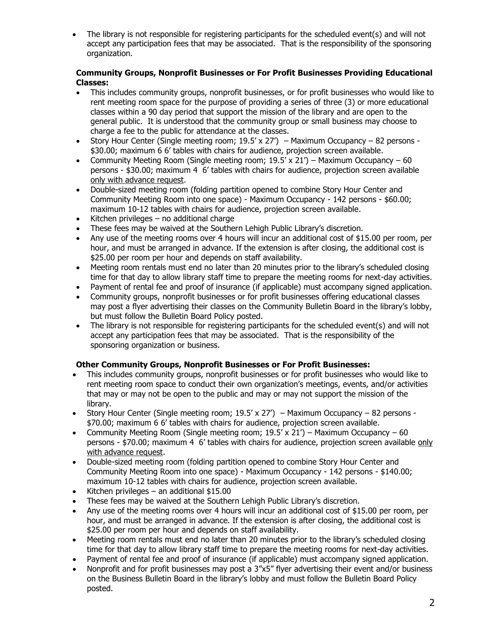The library is not responsible for registering participants for the scheduled event(s) and will not accept any participation fees that may be associated. That is the responsibility of the sponsoring organization.

# **Community Groups, Nonprofit Businesses or For Profit Businesses Providing Educational Classes:**

- This includes community groups, nonprofit businesses, or for profit businesses who would like to rent meeting room space for the purpose of providing a series of three (3) or more educational classes within a 90 day period that support the mission of the library and are open to the general public. It is understood that the community group or small business may choose to charge a fee to the public for attendance at the classes.
- Story Hour Center (Single meeting room;  $19.5' \times 27'$ ) Maximum Occupancy 82 persons -\$30.00; maximum 6 6' tables with chairs for audience, projection screen available.
- Community Meeting Room (Single meeting room;  $19.5' \times 21'$ ) Maximum Occupancy 60 persons - \$30.00; maximum 4 6' tables with chairs for audience, projection screen available only with advance request.
- Double-sized meeting room (folding partition opened to combine Story Hour Center and Community Meeting Room into one space) - Maximum Occupancy - 142 persons - \$60.00; maximum 10-12 tables with chairs for audience, projection screen available.
- Kitchen privileges no additional charge
- These fees may be waived at the Southern Lehigh Public Library's discretion.
- Any use of the meeting rooms over 4 hours will incur an additional cost of \$15.00 per room, per hour, and must be arranged in advance. If the extension is after closing, the additional cost is \$25.00 per room per hour and depends on staff availability.
- Meeting room rentals must end no later than 20 minutes prior to the library's scheduled closing time for that day to allow library staff time to prepare the meeting rooms for next-day activities.
- Payment of rental fee and proof of insurance (if applicable) must accompany signed application.
- Community groups, nonprofit businesses or for profit businesses offering educational classes may post a flyer advertising their classes on the Community Bulletin Board in the library's lobby, but must follow the Bulletin Board Policy posted.
- The library is not responsible for registering participants for the scheduled event(s) and will not accept any participation fees that may be associated. That is the responsibility of the sponsoring organization or business.

# **Other Community Groups, Nonprofit Businesses or For Profit Businesses:**

- This includes community groups, nonprofit businesses or for profit businesses who would like to rent meeting room space to conduct their own organization's meetings, events, and/or activities that may or may not be open to the public and may or may not support the mission of the library.
- Story Hour Center (Single meeting room;  $19.5' \times 27'$ ) Maximum Occupancy 82 persons -\$70.00; maximum 6 6' tables with chairs for audience, projection screen available.
- Community Meeting Room (Single meeting room;  $19.5' \times 21'$ ) Maximum Occupancy 60 persons - \$70.00; maximum 4 6' tables with chairs for audience, projection screen available only with advance request.
- Double-sized meeting room (folding partition opened to combine Story Hour Center and Community Meeting Room into one space) - Maximum Occupancy - 142 persons - \$140.00; maximum 10-12 tables with chairs for audience, projection screen available.
- $\bullet$  Kitchen privileges an additional \$15.00
- These fees may be waived at the Southern Lehigh Public Library's discretion.
- Any use of the meeting rooms over 4 hours will incur an additional cost of \$15.00 per room, per hour, and must be arranged in advance. If the extension is after closing, the additional cost is \$25.00 per room per hour and depends on staff availability.
- Meeting room rentals must end no later than 20 minutes prior to the library's scheduled closing time for that day to allow library staff time to prepare the meeting rooms for next-day activities.
- Payment of rental fee and proof of insurance (if applicable) must accompany signed application.
- Nonprofit and for profit businesses may post a 3"x5" flyer advertising their event and/or business on the Business Bulletin Board in the library's lobby and must follow the Bulletin Board Policy posted.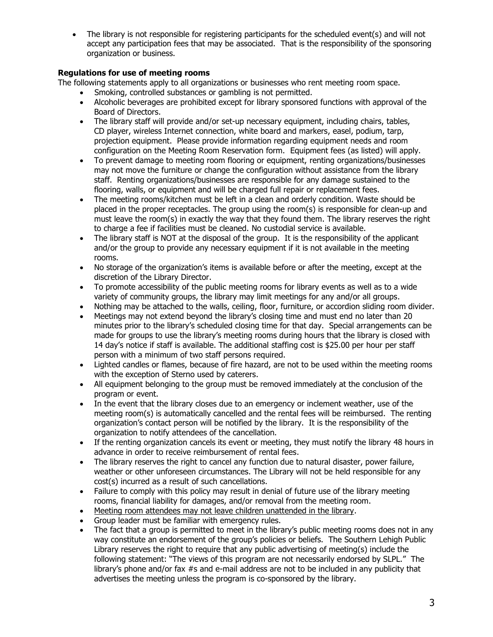The library is not responsible for registering participants for the scheduled event(s) and will not accept any participation fees that may be associated. That is the responsibility of the sponsoring organization or business.

# **Regulations for use of meeting rooms**

The following statements apply to all organizations or businesses who rent meeting room space.

- Smoking, controlled substances or gambling is not permitted.
- Alcoholic beverages are prohibited except for library sponsored functions with approval of the Board of Directors.
- The library staff will provide and/or set-up necessary equipment, including chairs, tables, CD player, wireless Internet connection, white board and markers, easel, podium, tarp, projection equipment. Please provide information regarding equipment needs and room configuration on the Meeting Room Reservation form. Equipment fees (as listed) will apply.
- To prevent damage to meeting room flooring or equipment, renting organizations/businesses may not move the furniture or change the configuration without assistance from the library staff. Renting organizations/businesses are responsible for any damage sustained to the flooring, walls, or equipment and will be charged full repair or replacement fees.
- The meeting rooms/kitchen must be left in a clean and orderly condition. Waste should be placed in the proper receptacles. The group using the room(s) is responsible for clean-up and must leave the room(s) in exactly the way that they found them. The library reserves the right to charge a fee if facilities must be cleaned. No custodial service is available.
- The library staff is NOT at the disposal of the group. It is the responsibility of the applicant and/or the group to provide any necessary equipment if it is not available in the meeting rooms.
- No storage of the organization's items is available before or after the meeting, except at the discretion of the Library Director.
- To promote accessibility of the public meeting rooms for library events as well as to a wide variety of community groups, the library may limit meetings for any and/or all groups.
- Nothing may be attached to the walls, ceiling, floor, furniture, or accordion sliding room divider.
- Meetings may not extend beyond the library's closing time and must end no later than 20 minutes prior to the library's scheduled closing time for that day. Special arrangements can be made for groups to use the library's meeting rooms during hours that the library is closed with 14 day's notice if staff is available. The additional staffing cost is \$25.00 per hour per staff person with a minimum of two staff persons required.
- Lighted candles or flames, because of fire hazard, are not to be used within the meeting rooms with the exception of Sterno used by caterers.
- All equipment belonging to the group must be removed immediately at the conclusion of the program or event.
- In the event that the library closes due to an emergency or inclement weather, use of the meeting room(s) is automatically cancelled and the rental fees will be reimbursed. The renting organization's contact person will be notified by the library. It is the responsibility of the organization to notify attendees of the cancellation.
- If the renting organization cancels its event or meeting, they must notify the library 48 hours in advance in order to receive reimbursement of rental fees.
- The library reserves the right to cancel any function due to natural disaster, power failure, weather or other unforeseen circumstances. The Library will not be held responsible for any cost(s) incurred as a result of such cancellations.
- Failure to comply with this policy may result in denial of future use of the library meeting rooms, financial liability for damages, and/or removal from the meeting room.
- Meeting room attendees may not leave children unattended in the library.
- Group leader must be familiar with emergency rules.
- The fact that a group is permitted to meet in the library's public meeting rooms does not in any way constitute an endorsement of the group's policies or beliefs. The Southern Lehigh Public Library reserves the right to require that any public advertising of meeting(s) include the following statement: "The views of this program are not necessarily endorsed by SLPL." The library's phone and/or fax #s and e-mail address are not to be included in any publicity that advertises the meeting unless the program is co-sponsored by the library.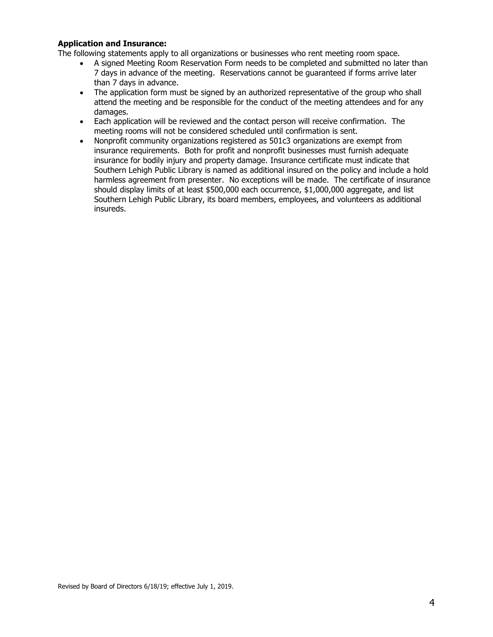## **Application and Insurance:**

The following statements apply to all organizations or businesses who rent meeting room space.

- A signed Meeting Room Reservation Form needs to be completed and submitted no later than 7 days in advance of the meeting. Reservations cannot be guaranteed if forms arrive later than 7 days in advance.
- The application form must be signed by an authorized representative of the group who shall attend the meeting and be responsible for the conduct of the meeting attendees and for any damages.
- Each application will be reviewed and the contact person will receive confirmation. The meeting rooms will not be considered scheduled until confirmation is sent.
- Nonprofit community organizations registered as 501c3 organizations are exempt from insurance requirements. Both for profit and nonprofit businesses must furnish adequate insurance for bodily injury and property damage. Insurance certificate must indicate that Southern Lehigh Public Library is named as additional insured on the policy and include a hold harmless agreement from presenter. No exceptions will be made. The certificate of insurance should display limits of at least \$500,000 each occurrence, \$1,000,000 aggregate, and list Southern Lehigh Public Library, its board members, employees, and volunteers as additional insureds.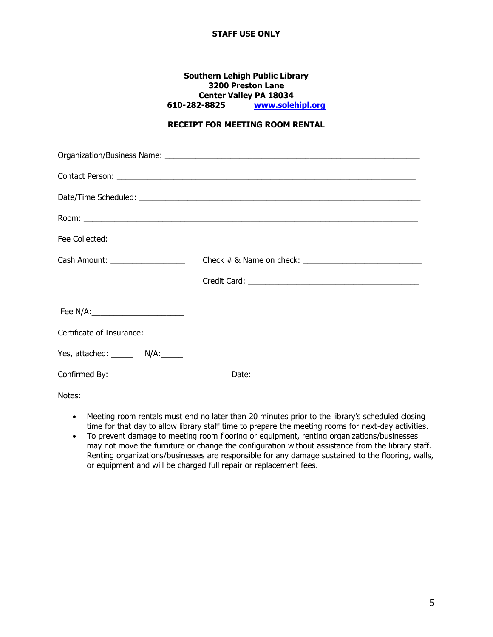## **STAFF USE ONLY**

### **Southern Lehigh Public Library 3200 Preston Lane Center Valley PA 18034 610-282-8825 [www.solehipl.org](http://www.solehipl.org/)**

# **RECEIPT FOR MEETING ROOM RENTAL**

| Fee Collected:                      |                                                                                                                                                                                                                                      |
|-------------------------------------|--------------------------------------------------------------------------------------------------------------------------------------------------------------------------------------------------------------------------------------|
| Cash Amount: _____________________  |                                                                                                                                                                                                                                      |
|                                     |                                                                                                                                                                                                                                      |
| Fee N/A:___________________________ |                                                                                                                                                                                                                                      |
| Certificate of Insurance:           |                                                                                                                                                                                                                                      |
| Yes, attached: ________ N/A:______  |                                                                                                                                                                                                                                      |
|                                     | Date: <u>Date: Exploration of the State of the State of the State of the State of the State of the State of the State of the State of the State of the State of the State of the State of the State of the State of the State of</u> |

Notes:

- Meeting room rentals must end no later than 20 minutes prior to the library's scheduled closing time for that day to allow library staff time to prepare the meeting rooms for next-day activities.
- To prevent damage to meeting room flooring or equipment, renting organizations/businesses may not move the furniture or change the configuration without assistance from the library staff. Renting organizations/businesses are responsible for any damage sustained to the flooring, walls, or equipment and will be charged full repair or replacement fees.